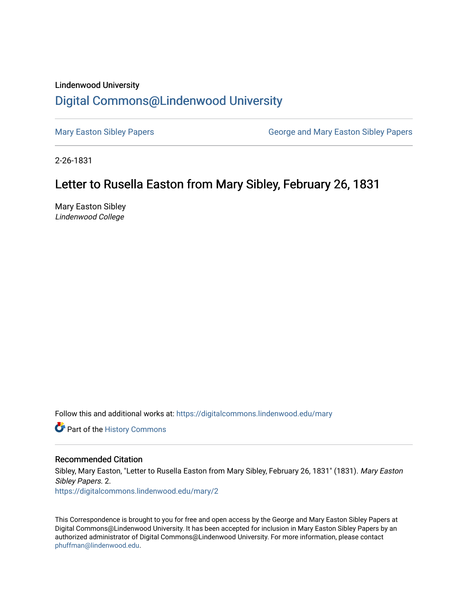## Lindenwood University [Digital Commons@Lindenwood University](https://digitalcommons.lindenwood.edu/)

[Mary Easton Sibley Papers](https://digitalcommons.lindenwood.edu/mary) **George and Mary Easton Sibley Papers** George and Mary Easton Sibley Papers

2-26-1831

## Letter to Rusella Easton from Mary Sibley, February 26, 1831

Mary Easton Sibley Lindenwood College

Follow this and additional works at: [https://digitalcommons.lindenwood.edu/mary](https://digitalcommons.lindenwood.edu/mary?utm_source=digitalcommons.lindenwood.edu%2Fmary%2F2&utm_medium=PDF&utm_campaign=PDFCoverPages) 

Part of the [History Commons](http://network.bepress.com/hgg/discipline/489?utm_source=digitalcommons.lindenwood.edu%2Fmary%2F2&utm_medium=PDF&utm_campaign=PDFCoverPages) 

## Recommended Citation

Sibley, Mary Easton, "Letter to Rusella Easton from Mary Sibley, February 26, 1831" (1831). Mary Easton Sibley Papers. 2. [https://digitalcommons.lindenwood.edu/mary/2](https://digitalcommons.lindenwood.edu/mary/2?utm_source=digitalcommons.lindenwood.edu%2Fmary%2F2&utm_medium=PDF&utm_campaign=PDFCoverPages) 

This Correspondence is brought to you for free and open access by the George and Mary Easton Sibley Papers at Digital Commons@Lindenwood University. It has been accepted for inclusion in Mary Easton Sibley Papers by an authorized administrator of Digital Commons@Lindenwood University. For more information, please contact [phuffman@lindenwood.edu](mailto:phuffman@lindenwood.edu).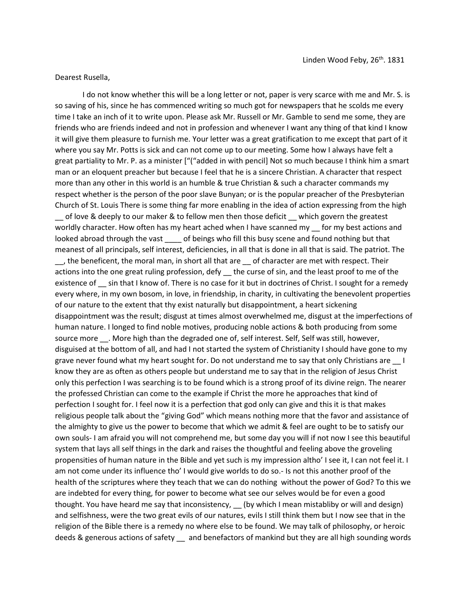Dearest Rusella,

I do not know whether this will be a long letter or not, paper is very scarce with me and Mr. S. is so saving of his, since he has commenced writing so much got for newspapers that he scolds me every time I take an inch of it to write upon. Please ask Mr. Russell or Mr. Gamble to send me some, they are friends who are friends indeed and not in profession and whenever I want any thing of that kind I know it will give them pleasure to furnish me. Your letter was a great gratification to me except that part of it where you say Mr. Potts is sick and can not come up to our meeting. Some how I always have felt a great partiality to Mr. P. as a minister ["("added in with pencil] Not so much because I think him a smart man or an eloquent preacher but because I feel that he is a sincere Christian. A character that respect more than any other in this world is an humble & true Christian & such a character commands my respect whether is the person of the poor slave Bunyan; or is the popular preacher of the Presbyterian Church of St. Louis There is some thing far more enabling in the idea of action expressing from the high \_\_ of love & deeply to our maker & to fellow men then those deficit \_\_ which govern the greatest worldly character. How often has my heart ached when I have scanned my \_\_ for my best actions and looked abroad through the vast \_\_\_\_\_ of beings who fill this busy scene and found nothing but that meanest of all principals, self interest, deficiencies, in all that is done in all that is said. The patriot. The \_\_, the beneficent, the moral man, in short all that are \_\_ of character are met with respect. Their actions into the one great ruling profession, defy the curse of sin, and the least proof to me of the existence of sin that I know of. There is no case for it but in doctrines of Christ. I sought for a remedy every where, in my own bosom, in love, in friendship, in charity, in cultivating the benevolent properties of our nature to the extent that thy exist naturally but disappointment, a heart sickening disappointment was the result; disgust at times almost overwhelmed me, disgust at the imperfections of human nature. I longed to find noble motives, producing noble actions & both producing from some source more \_\_\_. More high than the degraded one of, self interest. Self, Self was still, however, disguised at the bottom of all, and had I not started the system of Christianity I should have gone to my grave never found what my heart sought for. Do not understand me to say that only Christians are l know they are as often as others people but understand me to say that in the religion of Jesus Christ only this perfection I was searching is to be found which is a strong proof of its divine reign. The nearer the professed Christian can come to the example if Christ the more he approaches that kind of perfection I sought for. I feel now it is a perfection that god only can give and this it is that makes religious people talk about the "giving God" which means nothing more that the favor and assistance of the almighty to give us the power to become that which we admit & feel are ought to be to satisfy our own souls- I am afraid you will not comprehend me, but some day you will if not now I see this beautiful system that lays all self things in the dark and raises the thoughtful and feeling above the groveling propensities of human nature in the Bible and yet such is my impression altho' I see it, I can not feel it. I am not come under its influence tho' I would give worlds to do so.- Is not this another proof of the health of the scriptures where they teach that we can do nothing without the power of God? To this we are indebted for every thing, for power to become what see our selves would be for even a good thought. You have heard me say that inconsistency,  $\quad$  (by which I mean mistabliby or will and design) and selfishness, were the two great evils of our natures, evils I still think them but I now see that in the religion of the Bible there is a remedy no where else to be found. We may talk of philosophy, or heroic deeds & generous actions of safety \_ and benefactors of mankind but they are all high sounding words